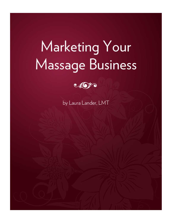# Marketing Your **Massage Business**



by Laura Lander, LMT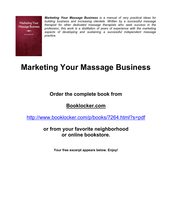

*Marketing Your Massage Business is a manual of very practical ideas for building business and increasing clientele. Written by a successful massage therapist for other dedicated massage therapists who seek success in the profession, this work is a distillation of years of experience with the marketing aspects of developing and sustaining a successful independent massage practice.*

# **Marketing Your Massage Business**

# **Order the complete book from**

# **Booklocker.com**

http://www.booklocker.com/p/books/7264.html?s=pdf

### **or from your favorite neighborhood or online bookstore.**

**Your free excerpt appears below. Enjoy!**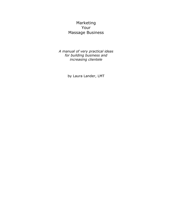### Marketing Your Massage Business

*A manual of very practical ideas for building business and increasing clientele*

by Laura Lander, LMT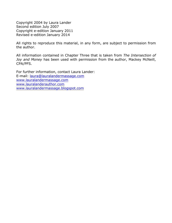Copyright 2004 by Laura Lander Second edition July 2007 Copyright e-edition January 2011 Revised e-edition January 2014

All rights to reproduce this material, in any form, are subject to permission from the author.

All information contained in Chapter Three that is taken from *The Intersection of Joy and Money* has been used with permission from the author, Mackey McNeill, CPA/PFS.

For further information, contact Laura Lander: E-mail: laura@lauralandermassage.com www.lauralandermassage.com www.lauralanderauthor.com www.lauralandermassage.blogspot.com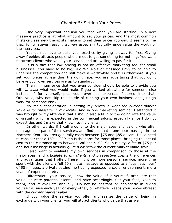One very important decision you face when you are starting up a new massage practice is at what amount to set your prices. And the most common mistake I see new therapists make is to set their prices *too low*. It seems to me that, for whatever reason, *women* especially typically undervalue the worth of their services.

You do not have to build your practice by giving it away for free. Giving away freebies attracts people who are out to get something for nothing. You want to attract clients who value your service and are willing to pay for it.

It is a fact that low pricing is not an effective marketing tool for small businesses. You have to be big, like Wal-Mart or Massage Envy to be able to undersell the competition and still make a worthwhile profit. Furthermore, if you set your prices at less than the going rate, you are advertising that you don't believe your own services are up to standard.

The minimum price that you even consider should be able to provide you with *at least* what you would make if you worked elsewhere for someone else instead of for yourself, plus your overhead expenses factored into that. Otherwise, why not skip the hassle of running your own business and just go work for someone else?

My main consideration in setting my prices is *what the current market value is for massage in my locale.* And in one marketing seminar I attended it was brought to my attention that I should also add in to the going rate the value of gratuity which is expected in the commercial salons, especially since I do not expect tips and I make that known to my clients.

In other words, if I call around to the major spas and salons who offer massage as a part of their services, and find out that a one-hour massage in the Northern Kentucky area generally costs between \$75 and \$85 dollars, I also need to consider that a 15% - 20% tip is the norm for those places, bringing the actual cost to the customer up to between \$86 and \$102. So in reality, a fee of \$75 per one-hour massage is actually *quite a bit below* the current market value scale.

I also want to evaluate my own services in comparison to those at the major spas, and *articulate to my clients and prospective clients* the differences and advantages that I offer. These might be more personal service, more time spent with the client, a full 60 minute massage as opposed to a "business hour" of 50 minutes, a private setting, no tipping expected, a cozier environment, more years of experience, etc.

Differentiate your service, know the value of it yourself, articulate that value, educate potential clients, and price accordingly. Set your fees, keep to them, and re-evaluate annually. Do not be hesitant or apologetic in giving yourself a raise each year or every other, or whatever keeps your prices abreast with the *current market value*.

If you value the service you offer and realize the value of being in exchange with your clients, you will attract clients who value that as well.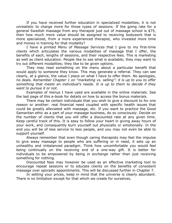If you have received further education in specialized modalities, it is not unrealistic to charge more for those types of sessions. If the going rate for a general Swedish massage from any therapist just out of massage school is \$75, then how much more value should be assigned to receiving bodywork that is more specialized, from a more experienced therapist, who invested more time and money in training for that modality?

I have a printed *Menu of Massage Services* that I give to my first-time clients which articulates the various modalities of massage that I offer, the benefits of each, lengths of sessions, and their respective fees. This is marketing as well as client education. People like to see what is available; they may want to try out different modalities; they like to be given options.

They may read something on the menu about a particular benefit that would apply to someone they know. This may generate a referral. They can see clearly, at a glance, the value I place on what I have to offer them. No apologies, no deals. *Remember Chapter 1 on "marketing vs. selling": it is up to you to offer something that meets an individual's needs. It is up to them to decide if they want to pursue it or not.* 

Examples of menus I have used are available in the online materials. See the last page of this e-book for details on how to access the bonus materials.

There may be certain individuals that you wish to give a discount to for one reason or another: real financial need coupled with specific health issues that could be greatly alleviated with massage, etc. If you want to practice the Good Samaritan ethic as a part of your massage business, do so *consciously*. Decide on the number of clients that you will offer a discounted rate at any given time. Keep careful track of this. It is easy to follow your heart in giving away hours of your work, and consequently burn yourself out physically or emotionally. In the end you will be of less service to less people, and you may not even be able to support yourself.

Always remember that even though caring therapists may feel the impulse to give away massage to people who are suffering or in need, it sets up an unhealthy and imbalanced paradigm. Think how uncomfortable *you* would feel being continually on the receiving end of a one-way gift. It is better for individuals to be empowered by being *in exchange* rather than just receiving something for nothing.

Discounted fees may however be used as an effective marketing tool to encourage repeat sessions or to educate clients on the benefits of consistent massage over sporadic appointments. This will be discussed further in Chapter 7.

In setting your prices, keep in mind that the universe is clearly abundant. There is no limitation except for that which we create for ourselves.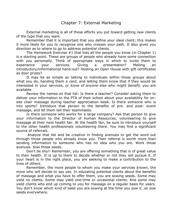External marketing is all of those efforts you put toward getting new clients of the type that you want.

Remember that it is important that you define your ideal client; this makes it more likely for you to recognize one who crosses your path. It also gives you direction as to where to go to address potential clients.

The Homework Exercise #1 that lists all the people you know (in Chapter 1) is a starting point. These are groups of people who already have some connection with you personally. Think of appropriate ways in which to invite them to experience your services. Giving a presentation? Mailing an introductory/informational hand-out? Hosting an Open House with gift certificates as door prizes?

It may be as simple as talking to individuals within those groups about what you do, handing them a card, and letting them know that if they would be interested in your services, *or know of anyone else who might benefit,* you are available.

Review the names on that list: Is there a teacher? Consider asking them to deliver your information to the PTA of their school about your availability for onsite chair massage during teacher appreciation week. Is there someone who is into sports? Introduce that person to the benefits of pre- and post- event massage, and let them tell their teammates.

Is there someone who works for a large company? Ask that person to give your information to the Director of Human Resources, volunteering to give massage at their next health fair. At the health fair, be sure to introduce yourself to the other health professionals volunteering there. You may find a significant source of referrals.

Analyze that list and be creative in finding avenues to get the word out through those people who already know you. Their referral is worth more than sending information to someone who has no idea who you are. Work those avenues. Sow those seeds.

Don't be shy!! Remember, you are offering something that is of great value to their health. It is up to them to decide whether or not they will pursue it. If your heart is in the right place, you are seeking to make a contribution to the lives of others.

Remember, the more people to whom you make your services known, the more who will decide to say yes. In educating potential clients about the benefits of massage and what you have to offer them, you are sowing seeds. Some may yield no clients. Some may yield one-time or occasional clients. And some may yield clients who end up coming to you for massage on a regular basis for years. You don't know which kind of seed you are sowing at the time you sow it…so sow seeds everywhere.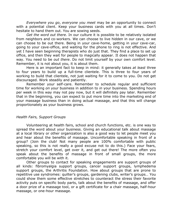*Everywhere you go*, *everyone you meet* may be an opportunity to connect with a potential client. Keep your business cards with you at all times. Don't hesitate to hand them out. You are sowing seeds.

*Get the word out there.* In our culture it is possible to be relatively isolated from neighbors and co-workers. We can choose to live hidden in our cave, or we can choose to be out there. Being in your cave-home, getting in your cave-car, going to your cave-office, and waiting for the phone to ring is not effective. And yet I have seen beginning therapists who do just that. They find a place to set up office, and then they wait for people to magically appear. It does not happen that way. You need to be *out there*. Do not limit yourself by your own comfort level. Remember, it is not about you, it is about them.

Here is an important fact to keep in mind: it generally takes *at least* three to four years to build up a full-time clientele. This is three to four years of working to build that clientele, not just waiting for it to come to you. Do not get discouraged. Work steadily and patiently.

Remember your self-care. Remember to schedule regular and sufficient time for working *on* your business in addition to *in* your business. Spending hours per week in this way may not pay now, but it will definitely pay later. Remember that in the beginning, you can expect to put more time into the marketing end of your massage business than in doing actual massage, and that this will change proportionately as your business grows.

#### *Health Fairs, Support Groups*

Volunteering at health fairs, school and church functions, etc. is one way to spread the word about your business. Giving an educational talk about massage at a local library or other organization is also a good way to let people meet you and hear about the benefits of massage. Uncomfortable speaking in front of a group? (Join the club! Not many people are 100% comfortable with public speaking, so this is not really a good excuse not to do this.) Face your fears, stretch your comfort level, get over it, and get out there! The more often you speak about the benefits of massage in front of small groups, the more comfortable you will be with it.

Other groups to contact for speaking engagements are support groups of all kinds: fibromyalgia support groups, cancer support groups, lymphedema support groups, the Arthritis Foundation. How about groups that are prone to repetitive use syndromes: quilter's groups, gardening clubs, writer's groups… You could show them some effective stretches to counteract the stress their favorite activity puts on specific body parts, talk about the benefits of massage, and offer a door prize of a massage tool, or a gift certificate for a chair massage, half-hour massage, or one-hour massage.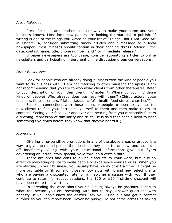#### *Press Releases*

Press Releases are another excellent way to make your name and your business known. Most local newspapers are looking for material to publish. If writing is one of the things you wrote on your list of "Things That I Am Good At" in Chapter 4, consider submitting timely articles about massage to a local newspaper. Press releases should contain in their heading "Press Release", the date, contact name, title, phone number, and "for immediate release."

If paper newspapers are too passé, consider submitting articles to online newsletters and participating in pertinent online discussion group conversations.

#### *Other Businesses*

Look for people who are already doing business with the kind of people you want to do business with. (I am not referring to other massage therapists. I am not recommending that you try to woo away clients from other therapists!) Refer to your description of your ideal client in Chapter 4. Where do you find those kinds of people? Who already does business with them? (Chiropractors, yoga teachers, fitness centers, Pilates classes, café's, health food stores, churches?)

Establish connections with those places or people to open up avenues for new clients to find you. Introduce yourself to them and then make follow-up contacts. Seeing your face over and over and hearing from you repeatedly fosters a growing impression of familiarity and trust. (It is said that people need to hear something five times before they know that they've heard it!)

#### *Promotions*

Offering time-sensitive promotions in any of the above areas or groups is a way to give interested people the idea that they need to act now, and not put it off indefinitely. Along with your educational information give out flyers advertising an introductory special, valid through a certain date.

There are pros and cons to giving discounts to your work, but it *is* an effective marketing device to invite people to experience your services. When you are starting up your business, you usually have plenty of extra time. It might be more profitable to fill some of those empty slots with brand new select clients who are paying a discounted rate for a first-time massage with you. If they continue to return for repeat sessions, the \$10 or \$20 first-time discount will have been more than worth it.

In spreading the word about your business, always be gracious. Listen to what the person you are speaking with has to say. Answer questions with honesty. If you don't know the answer, say you'll find out and get a contact number so you can report back. Never be pushy. Do not come across as asking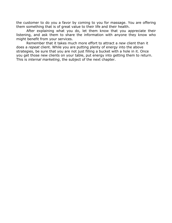the customer to do you a favor by coming to you for massage. You are offering them something that is of great value to their life and their health.

After explaining what you do, let them know that you appreciate their listening, and ask them to share the information with anyone they know who might benefit from your services.

Remember that it takes much more effort to attract a *new* client than it does a *repeat* client. While you are putting plenty of energy into the above strategies, be sure that you are not just filling a bucket with a hole in it. Once you get those new clients on your table, put energy into getting them to return. This is *internal marketing*, the subject of the next chapter.